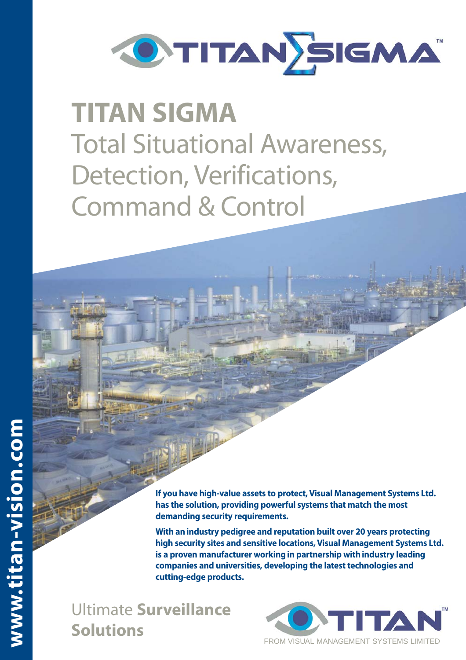

## **TITAN SIGMA** Total Situational Awareness, Detection, Verifications, Command & Control

**If you have high-value assets to protect, Visual Management Systems Ltd. has the solution, providing powerful systems that match the most demanding security requirements.**

**With an industry pedigree and reputation built over 20 years protecting high security sites and sensitive locations, Visual Management Systems Ltd. is a proven manufacturer working in partnership with industry leading companies and universities, developing the latest technologies and cutting-edge products.** 

Ultimate **Surveillance Solutions**